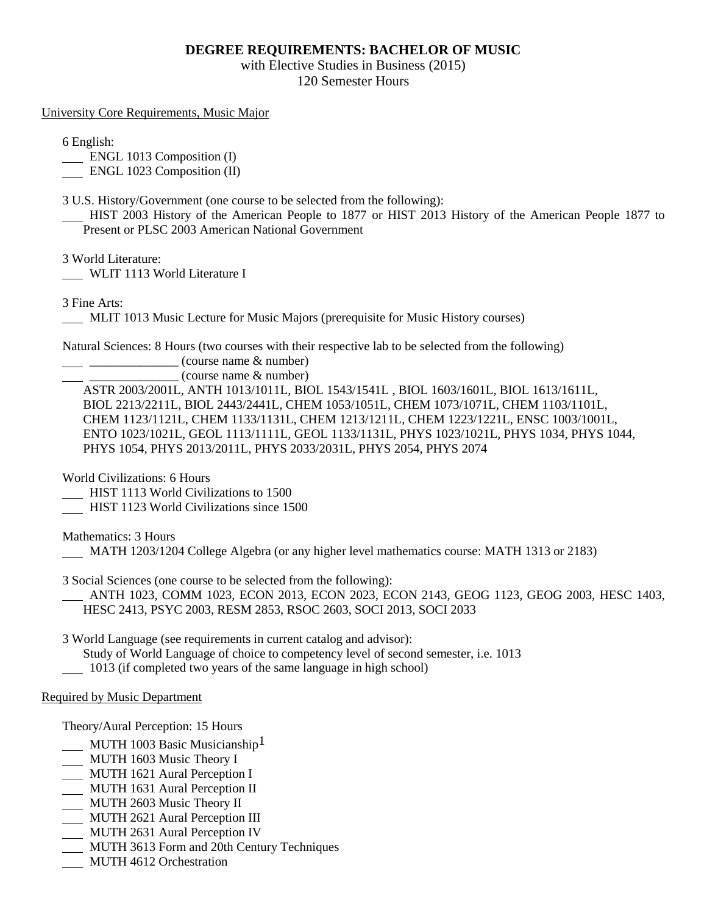# **DEGREE REQUIREMENTS: BACHELOR OF MUSIC**

with Elective Studies in Business (2015) 120 Semester Hours

University Core Requirements, Music Major

6 English:

**ENGL 1013 Composition (I)** 

ENGL 1023 Composition (II)

3 U.S. History/Government (one course to be selected from the following):

 HIST 2003 History of the American People to 1877 or HIST 2013 History of the American People 1877 to Present or PLSC 2003 American National Government

3 World Literature:

WLIT 1113 World Literature I

3 Fine Arts:

MLIT 1013 Music Lecture for Music Majors (prerequisite for Music History courses)

Natural Sciences: 8 Hours (two courses with their respective lab to be selected from the following)

 $\frac{1}{2}$   $\frac{1}{2}$   $\frac{1}{2}$   $\frac{1}{2}$   $\frac{1}{2}$   $\frac{1}{2}$   $\frac{1}{2}$   $\frac{1}{2}$   $\frac{1}{2}$   $\frac{1}{2}$   $\frac{1}{2}$   $\frac{1}{2}$   $\frac{1}{2}$   $\frac{1}{2}$   $\frac{1}{2}$   $\frac{1}{2}$   $\frac{1}{2}$   $\frac{1}{2}$   $\frac{1}{2}$   $\frac{1}{2}$   $\frac{1}{2}$   $\frac{1}{2}$ 

 $(course name & number)$ 

ASTR 2003/2001L, ANTH 1013/1011L, BIOL 1543/1541L , BIOL 1603/1601L, BIOL 1613/1611L, BIOL 2213/2211L, BIOL 2443/2441L, CHEM 1053/1051L, CHEM 1073/1071L, CHEM 1103/1101L, CHEM 1123/1121L, CHEM 1133/1131L, CHEM 1213/1211L, CHEM 1223/1221L, ENSC 1003/1001L, ENTO 1023/1021L, GEOL 1113/1111L, GEOL 1133/1131L, PHYS 1023/1021L, PHYS 1034, PHYS 1044, PHYS 1054, PHYS 2013/2011L, PHYS 2033/2031L, PHYS 2054, PHYS 2074

World Civilizations: 6 Hours

HIST 1113 World Civilizations to 1500

HIST 1123 World Civilizations since 1500

Mathematics: 3 Hours

MATH 1203/1204 College Algebra (or any higher level mathematics course: MATH 1313 or 2183)

3 Social Sciences (one course to be selected from the following):

 ANTH 1023, COMM 1023, ECON 2013, ECON 2023, ECON 2143, GEOG 1123, GEOG 2003, HESC 1403, HESC 2413, PSYC 2003, RESM 2853, RSOC 2603, SOCI 2013, SOCI 2033

3 World Language (see requirements in current catalog and advisor):

Study of World Language of choice to competency level of second semester, i.e. 1013

1013 (if completed two years of the same language in high school)

### Required by Music Department

Theory/Aural Perception: 15 Hours

- **MUTH 1003 Basic Musicianship**<sup>1</sup>
- MUTH 1603 Music Theory I
- MUTH 1621 Aural Perception I
- MUTH 1631 Aural Perception II
- MUTH 2603 Music Theory II
- MUTH 2621 Aural Perception III
- **MUTH 2631 Aural Perception IV**
- MUTH 3613 Form and 20th Century Techniques
- **MUTH 4612 Orchestration**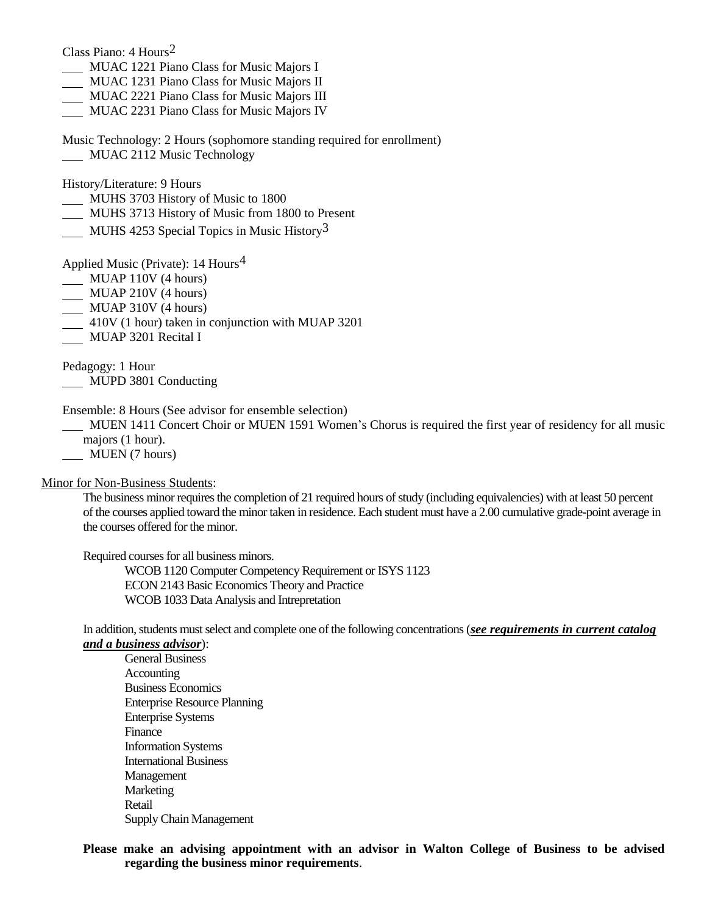Class Piano: 4 Hours2

- MUAC 1221 Piano Class for Music Majors I
- MUAC 1231 Piano Class for Music Majors II
- MUAC 2221 Piano Class for Music Majors III
- MUAC 2231 Piano Class for Music Majors IV
- Music Technology: 2 Hours (sophomore standing required for enrollment)
- MUAC 2112 Music Technology

History/Literature: 9 Hours

- MUHS 3703 History of Music to 1800
- MUHS 3713 History of Music from 1800 to Present
- MUHS 4253 Special Topics in Music History<sup>3</sup>

Applied Music (Private): 14 Hours4

- MUAP 110V (4 hours)
- $\frac{1}{2}$  MUAP 210V (4 hours)
- MUAP 310V (4 hours)
- 410V (1 hour) taken in conjunction with MUAP 3201
- MUAP 3201 Recital I

Pedagogy: 1 Hour MUPD 3801 Conducting

Ensemble: 8 Hours (See advisor for ensemble selection)

 MUEN 1411 Concert Choir or MUEN 1591 Women's Chorus is required the first year of residency for all music majors (1 hour).

**MUEN** (7 hours)

Minor for Non-Business Students:

The business minor requires the completion of 21 required hours of study (including equivalencies) with at least 50 percent of the courses applied toward the minor taken in residence. Each student must have a 2.00 cumulative grade-point average in the courses offered for the minor.

Required courses for all business minors.

WCOB 1120 Computer Competency Requirement or ISYS 1123 ECON 2143 Basic Economics Theory and Practice WCOB 1033 Data Analysis and Intrepretation

In addition, students must select and complete one of the following concentrations (*see requirements in current catalog and a business advisor*):

General Business **Accounting** Business Economics Enterprise Resource Planning Enterprise Systems Finance Information Systems International Business Management **Marketing** Retail Supply Chain Management

### **Please make an advising appointment with an advisor in Walton College of Business to be advised regarding the business minor requirements**.